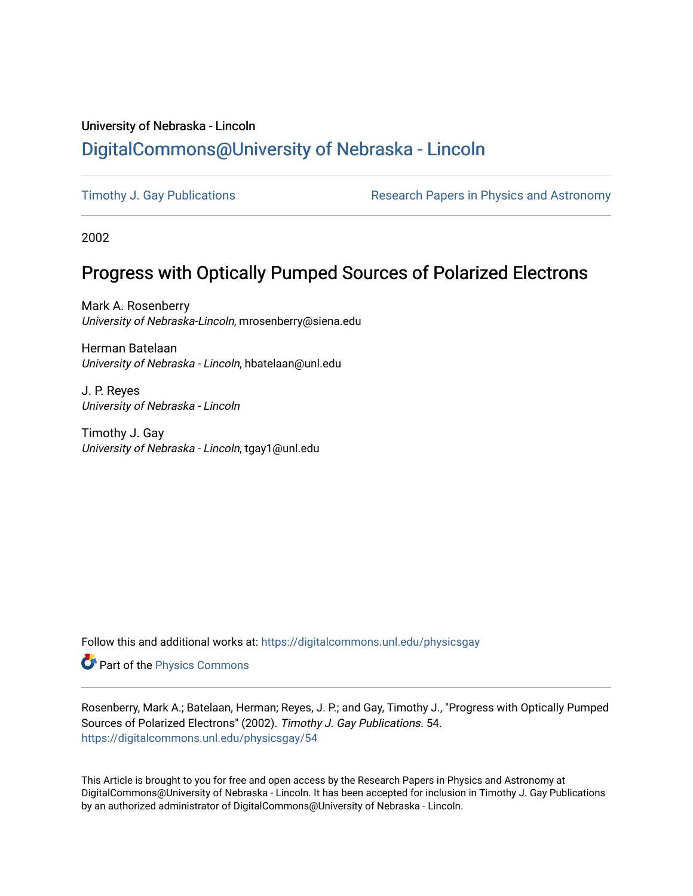## University of Nebraska - Lincoln [DigitalCommons@University of Nebraska - Lincoln](https://digitalcommons.unl.edu/)

[Timothy J. Gay Publications](https://digitalcommons.unl.edu/physicsgay) **Research Papers in Physics and Astronomy** 

2002

# Progress with Optically Pumped Sources of Polarized Electrons

Mark A. Rosenberry University of Nebraska-Lincoln, mrosenberry@siena.edu

Herman Batelaan University of Nebraska - Lincoln, hbatelaan@unl.edu

J. P. Reyes University of Nebraska - Lincoln

Timothy J. Gay University of Nebraska - Lincoln, tgay1@unl.edu

Follow this and additional works at: [https://digitalcommons.unl.edu/physicsgay](https://digitalcommons.unl.edu/physicsgay?utm_source=digitalcommons.unl.edu%2Fphysicsgay%2F54&utm_medium=PDF&utm_campaign=PDFCoverPages)

Part of the [Physics Commons](http://network.bepress.com/hgg/discipline/193?utm_source=digitalcommons.unl.edu%2Fphysicsgay%2F54&utm_medium=PDF&utm_campaign=PDFCoverPages)

Rosenberry, Mark A.; Batelaan, Herman; Reyes, J. P.; and Gay, Timothy J., "Progress with Optically Pumped Sources of Polarized Electrons" (2002). Timothy J. Gay Publications. 54. [https://digitalcommons.unl.edu/physicsgay/54](https://digitalcommons.unl.edu/physicsgay/54?utm_source=digitalcommons.unl.edu%2Fphysicsgay%2F54&utm_medium=PDF&utm_campaign=PDFCoverPages) 

This Article is brought to you for free and open access by the Research Papers in Physics and Astronomy at DigitalCommons@University of Nebraska - Lincoln. It has been accepted for inclusion in Timothy J. Gay Publications by an authorized administrator of DigitalCommons@University of Nebraska - Lincoln.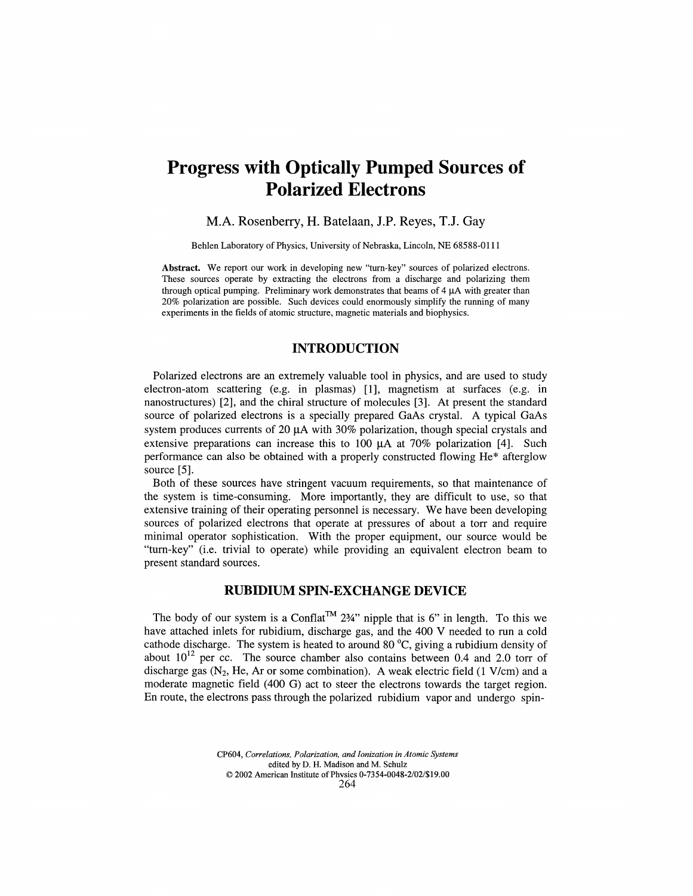## **Progress with Optically Pumped Sources of Polarized Electrons**

#### M.A. Rosenberry, H. Batelaan, J.P. Reyes, TJ. Gay

Behlen Laboratory of Physics, University of Nebraska, Lincoln, NE 68588-0111

**Abstract.** We report our work in developing new "turn-key" sources of polarized electrons. These sources operate by extracting the electrons from a discharge and polarizing them through optical pumping. Preliminary work demonstrates that beams of  $4 \mu A$  with greater than 20% polarization are possible. Such devices could enormously simplify the running of many experiments in the fields of atomic structure, magnetic materials and biophysics.

### **INTRODUCTION**

Polarized electrons are an extremely valuable tool in physics, and are used to study electron-atom scattering (e.g. in plasmas) [1], magnetism at surfaces (e.g. in nanostructures) [2], and the chiral structure of molecules [3]. At present the standard source of polarized electrons is a specially prepared GaAs crystal. A typical GaAs system produces currents of 20  $\mu$ A with 30% polarization, though special crystals and extensive preparations can increase this to 100  $\mu$ A at 70% polarization [4]. Such performance can also be obtained with a properly constructed flowing He\* afterglow source [5].

Both of these sources have stringent vacuum requirements, so that maintenance of the system is time-consuming. More importantly, they are difficult to use, so that extensive training of their operating personnel is necessary. We have been developing sources of polarized electrons that operate at pressures of about a torr and require minimal operator sophistication. With the proper equipment, our source would be "turn-key" (i.e. trivial to operate) while providing an equivalent electron beam to present standard sources.

#### **RUBIDIUM SPIN-EXCHANGE DEVICE**

The body of our system is a Conflat<sup>TM</sup> 2<sup>3</sup>/<sub>4</sub>" nipple that is 6" in length. To this we have attached inlets for rubidium, discharge gas, and the 400 V needed to run a cold cathode discharge. The system is heated to around 80 °C, giving a rubidium density of about  $10^{12}$  per cc. The source chamber also contains between 0.4 and 2.0 torr of discharge gas  $(N_2, He, Ar$  or some combination). A weak electric field (1 V/cm) and a moderate magnetic field (400 G) act to steer the electrons towards the target region. En route, the electrons pass through the polarized rubidium vapor and undergo spin-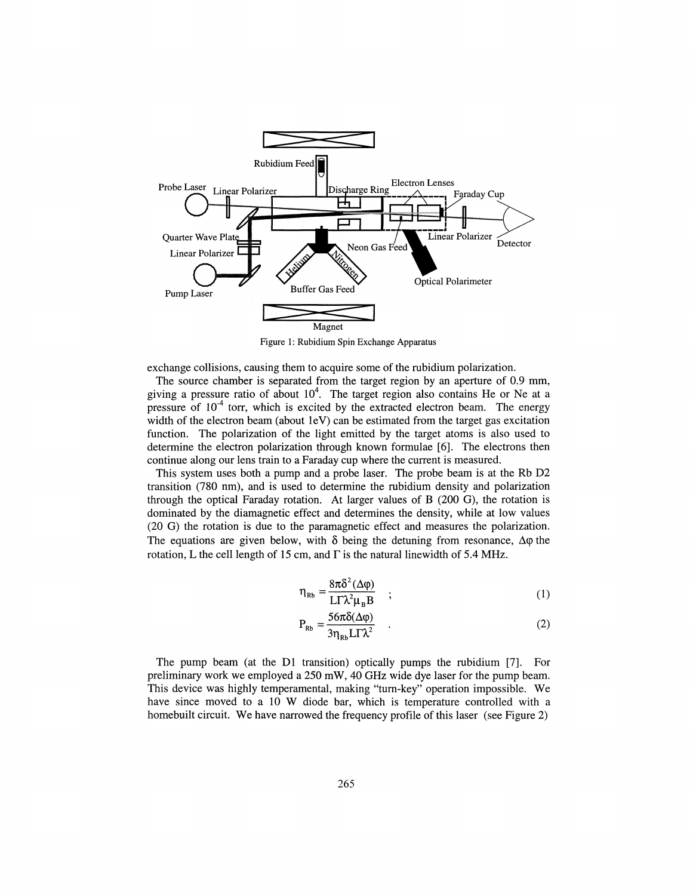

Figure 1: Rubidium Spin Exchange Apparatus

exchange collisions, causing them to acquire some of the rubidium polarization.

The source chamber is separated from the target region by an aperture of 0.9 mm, giving a pressure ratio of about  $10^4$ . The target region also contains He or Ne at a pressure of  $10<sup>-4</sup>$  torr, which is excited by the extracted electron beam. The energy width of the electron beam (about 1eV) can be estimated from the target gas excitation function. The polarization of the light emitted by the target atoms is also used to determine the electron polarization through known formulae [6]. The electrons then continue along our lens train to a Faraday cup where the current is measured.

This system uses both a pump and a probe laser. The probe beam is at the Rb D2 transition (780 nm), and is used to determine the rubidium density and polarization through the optical Faraday rotation. At larger values of B (200 G), the rotation is dominated by the diamagnetic effect and determines the density, while at low values (20 G) the rotation is due to the paramagnetic effect and measures the polarization. The equations are given below, with  $\delta$  being the detuning from resonance,  $\Delta \varphi$  the rotation, L the cell length of 15 cm, and  $\Gamma$  is the natural linewidth of 5.4 MHz.

$$
\eta_{Rb} = \frac{8\pi\delta^2(\Delta\varphi)}{L\Gamma\lambda^2\mu_R B} \quad ; \tag{1}
$$

$$
P_{Rb} = \frac{56\pi\delta(\Delta\varphi)}{3\eta_{Rb}LT\lambda^2} \quad . \tag{2}
$$

The pump beam (at the Dl transition) optically pumps the rubidium [7]. For preliminary work we employed a 250 mW, 40 GHz wide dye laser for the pump beam. This device was highly temperamental, making "turn-key" operation impossible. We have since moved to a 10 W diode bar, which is temperature controlled with a homebuilt circuit. We have narrowed the frequency profile of this laser (see Figure 2)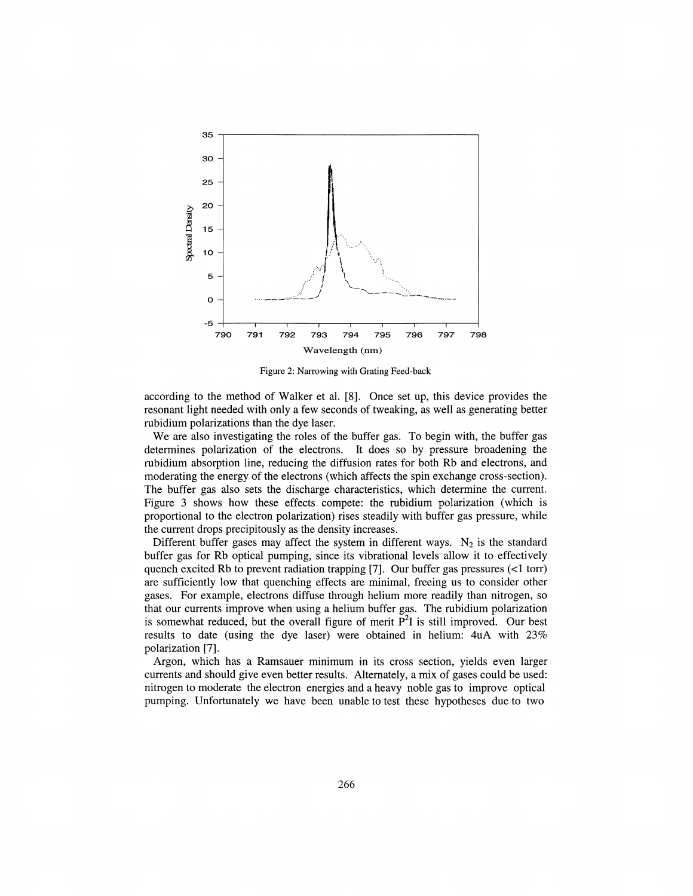

Figure 2: Narrowing with Grating Feed-back

according to the method of Walker et al. [8]. Once set up, this device provides the resonant light needed with only a few seconds of tweaking, as well as generating better rubidium polarizations than the dye laser.

We are also investigating the roles of the buffer gas. To begin with, the buffer gas determines polarization of the electrons. It does so by pressure broadening the rubidium absorption line, reducing the diffusion rates for both Rb and electrons, and moderating the energy of the electrons (which affects the spin exchange cross-section). The buffer gas also sets the discharge characteristics, which determine the current. Figure *3* shows how these effects compete: the rubidium polarization (which is proportional to the electron polarization) rises steadily with buffer gas pressure, while the current drops precipitously as the density increases.

Different buffer gases may affect the system in different ways.  $N_2$  is the standard buffer gas for Rb optical pumping, since its vibrational levels allow it to effectively quench excited Rb to prevent radiation trapping [7]. Our buffer gas pressures  $\left(\langle 1 \text{ tor} \rangle \right)$ are sufficiently low that quenching effects are minimal, freeing us to consider other gases. For example, electrons diffuse through helium more readily than nitrogen, so that our currents improve when using a helium buffer gas. The rubidium polarization is somewhat reduced, but the overall figure of merit  $P<sup>2</sup>I$  is still improved. Our best results to date (using the dye laser) were obtained in helium: 4uA with 23% polarization [7].

Argon, which has a Ramsauer minimum in its cross section, yields even larger currents and should give even better results. Alternately, a mix of gases could be used: nitrogen to moderate the electron energies and a heavy noble gas to improve optical pumping. Unfortunately we have been unable to test these hypotheses due to two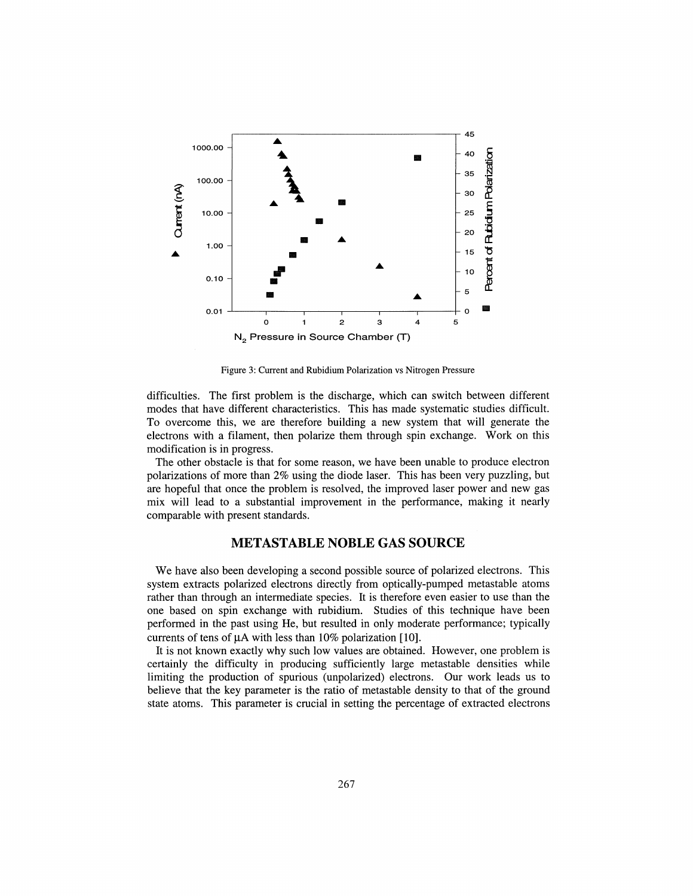

Figure 3: Current and Rubidium Polarization vs Nitrogen Pressure

difficulties. The first problem is the discharge, which can switch between different modes that have different characteristics. This has made systematic studies difficult. To overcome this, we are therefore building a new system that will generate the electrons with a filament, then polarize them through spin exchange. Work on this modification is in progress.

The other obstacle is that for some reason, we have been unable to produce electron polarizations of more than 2% using the diode laser. This has been very puzzling, but are hopeful that once the problem is resolved, the improved laser power and new gas mix will lead to a substantial improvement in the performance, making it nearly comparable with present standards.

### **METASTABLE NOBLE GAS SOURCE**

We have also been developing a second possible source of polarized electrons. This system extracts polarized electrons directly from optically-pumped metastable atoms rather than through an intermediate species. It is therefore even easier to use than the one based on spin exchange with rubidium. Studies of this technique have been performed in the past using He, but resulted in only moderate performance; typically currents of tens of  $\mu$ A with less than 10% polarization [10].

It is not known exactly why such low values are obtained. However, one problem is certainly the difficulty in producing sufficiently large metastable densities while limiting the production of spurious (unpolarized) electrons. Our work leads us to believe that the key parameter is the ratio of metastable density to that of the ground state atoms. This parameter is crucial in setting the percentage of extracted electrons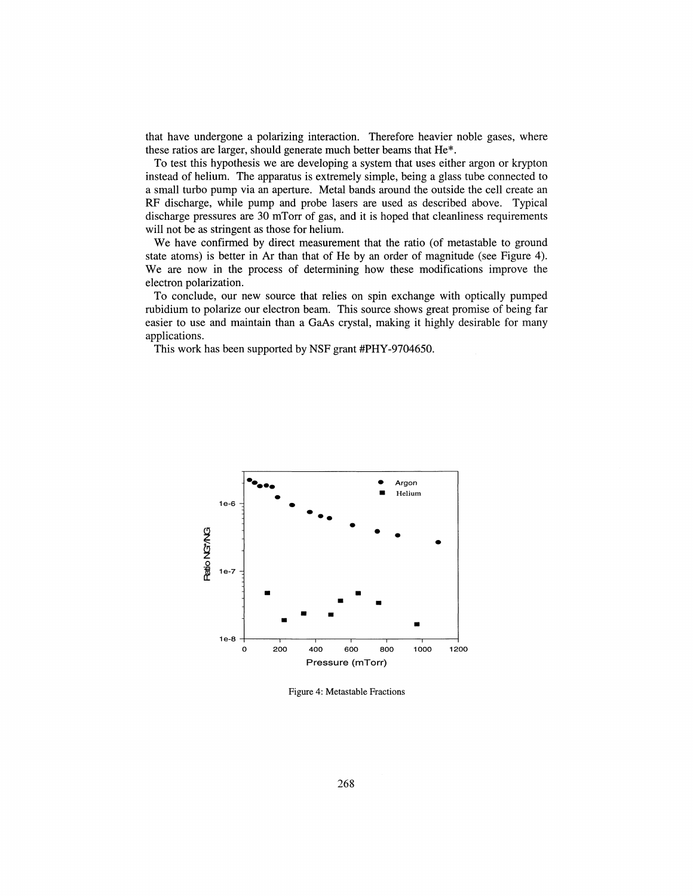that have undergone a polarizing interaction. Therefore heavier noble gases, where these ratios are larger, should generate much better beams that He\*.

To test this hypothesis we are developing a system that uses either argon or krypton instead of helium. The apparatus is extremely simple, being a glass tube connected to a small turbo pump via an aperture. Metal bands around the outside the cell create an RF discharge, while pump and probe lasers are used as described above. Typical discharge pressures are 30 mTorr of gas, and it is hoped that cleanliness requirements will not be as stringent as those for helium.

We have confirmed by direct measurement that the ratio (of metastable to ground state atoms) is better in Ar than that of He by an order of magnitude (see Figure 4). We are now in the process of determining how these modifications improve the electron polarization.

To conclude, our new source that relies on spin exchange with optically pumped rubidium to polarize our electron beam. This source shows great promise of being far easier to use and maintain than a GaAs crystal, making it highly desirable for many applications.

This work has been supported by NSF grant #PHY-9704650.



Figure 4: Metastable Fractions